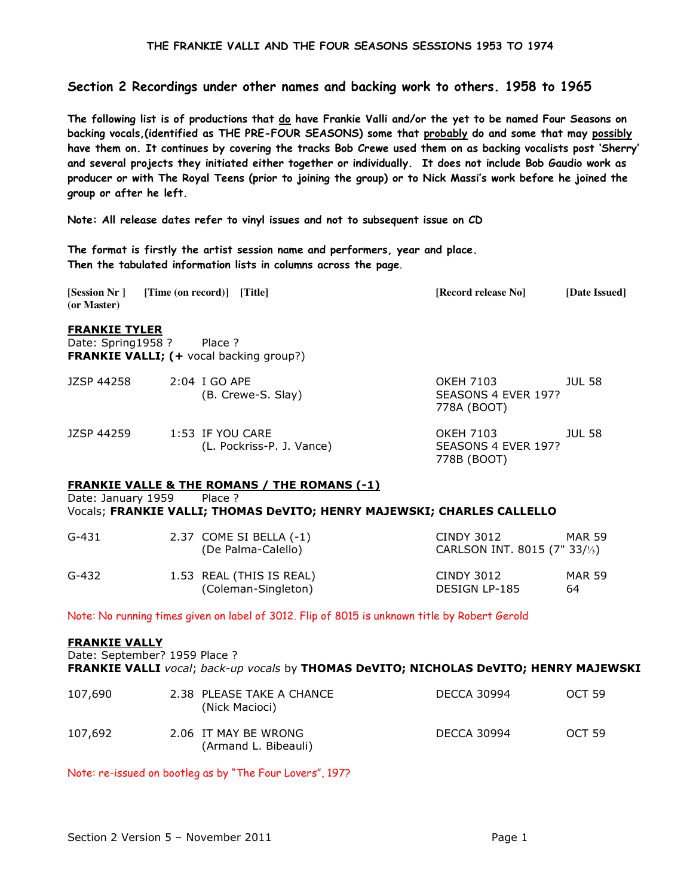# Section 2 Recordings under other names and backing work to others. 1958 to 1965

The following list is of productions that do have Frankie Valli and/or the yet to be named Four Seasons on backing vocals,(identified as THE PRE-FOUR SEASONS) some that probably do and some that may possibly have them on. It continues by covering the tracks Bob Crewe used them on as backing vocalists post 'Sherry' and several projects they initiated either together or individually. It does not include Bob Gaudio work as producer or with The Royal Teens (prior to joining the group) or to Nick Massi's work before he joined the group or after he left.

Note: All release dates refer to vinyl issues and not to subsequent issue on CD

The format is firstly the artist session name and performers, year and place. Then the tabulated information lists in columns across the page.

**[Session Nr ] [Time (on record)] [Title] [Record release No] [Date Issued] (or Master)** 

# FRANKIE TYLER

Date: Spring1958 ? Place ? FRANKIE VALLI; (+ vocal backing group?)

| JZSP 44258 | 2:04 I GO APE<br>(B. Crewe-S. Slay)           | OKEH 7103<br><b>JUL 58</b><br>SEASONS 4 EVER 197?<br>778A (BOOT) |
|------------|-----------------------------------------------|------------------------------------------------------------------|
| JZSP 44259 | 1:53 IF YOU CARE<br>(L. Pockriss-P. J. Vance) | OKEH 7103<br>JUL 58<br>SEASONS 4 EVER 197?<br>778B (BOOT)        |

# FRANKIE VALLE & THE ROMANS / THE ROMANS (-1)

Date: January 1959 Place ? Vocals; FRANKIE VALLI; THOMAS DeVITO; HENRY MAJEWSKI; CHARLES CALLELLO

| G-431 | 2.37 COME SI BELLA $(-1)$<br>(De Palma-Calello) | CINDY 3012<br>CARLSON INT. 8015 (7" 33/ $\frac{1}{3}$ ) | MAR 59       |
|-------|-------------------------------------------------|---------------------------------------------------------|--------------|
| G-432 | 1.53 REAL (THIS IS REAL)<br>(Coleman-Singleton) | CINDY 3012<br>DESIGN LP-185                             | MAR 59<br>64 |

Note: No running times given on label of 3012. Flip of 8015 is unknown title by Robert Gerold

### FRANKIE VALLY

Date: September? 1959 Place ? FRANKIE VALLI vocal; back-up vocals by THOMAS DeVITO; NICHOLAS DeVITO; HENRY MAJEWSKI

| 107,690 | 2.38 PLEASE TAKE A CHANCE<br>(Nick Macioci)  | <b>DECCA 30994</b> | OCT <sub>59</sub> |
|---------|----------------------------------------------|--------------------|-------------------|
| 107,692 | 2.06 IT MAY BE WRONG<br>(Armand L. Bibeauli) | <b>DECCA 30994</b> | OCT 59            |

Note: re-issued on bootleg as by "The Four Lovers", 197?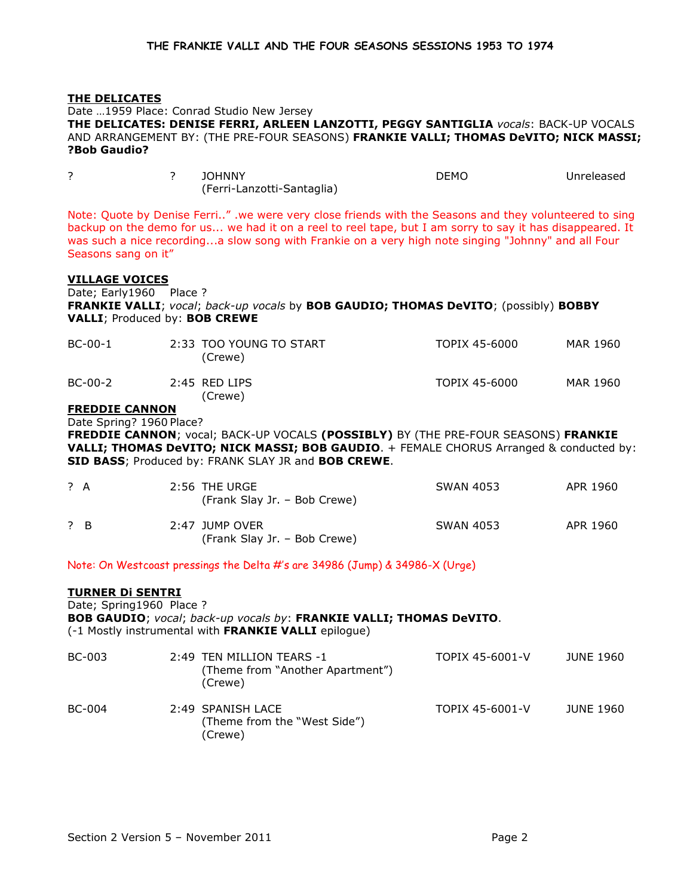|                                                                                                                                                                                                                                                                                          | THE DELICATES<br>?Bob Gaudio?                                                     |   | Date  1959 Place: Conrad Studio New Jersey<br>THE DELICATES: DENISE FERRI, ARLEEN LANZOTTI, PEGGY SANTIGLIA vocals: BACK-UP VOCALS<br>AND ARRANGEMENT BY: (THE PRE-FOUR SEASONS) FRANKIE VALLI; THOMAS DeVITO; NICK MASSI;                                                                                                |                  |            |
|------------------------------------------------------------------------------------------------------------------------------------------------------------------------------------------------------------------------------------------------------------------------------------------|-----------------------------------------------------------------------------------|---|---------------------------------------------------------------------------------------------------------------------------------------------------------------------------------------------------------------------------------------------------------------------------------------------------------------------------|------------------|------------|
| ?                                                                                                                                                                                                                                                                                        |                                                                                   | ? | <b>JOHNNY</b><br>(Ferri-Lanzotti-Santaglia)                                                                                                                                                                                                                                                                               | <b>DEMO</b>      | Unreleased |
|                                                                                                                                                                                                                                                                                          | Seasons sang on it"                                                               |   | Note: Quote by Denise Ferri" .we were very close friends with the Seasons and they volunteered to sing<br>backup on the demo for us we had it on a reel to reel tape, but I am sorry to say it has disappeared. It<br>was such a nice recordinga slow song with Frankie on a very high note singing "Johnny" and all Four |                  |            |
|                                                                                                                                                                                                                                                                                          | <b>VILLAGE VOICES</b><br>Date; Early1960 Place ?<br>VALLI; Produced by: BOB CREWE |   | FRANKIE VALLI; vocal; back-up vocals by BOB GAUDIO; THOMAS DeVITO; (possibly) BOBBY                                                                                                                                                                                                                                       |                  |            |
|                                                                                                                                                                                                                                                                                          | BC-00-1                                                                           |   | 2:33 TOO YOUNG TO START<br>(Crewe)                                                                                                                                                                                                                                                                                        | TOPIX 45-6000    | MAR 1960   |
|                                                                                                                                                                                                                                                                                          | BC-00-2                                                                           |   | $2:45$ RFD LIPS<br>(Crewe)                                                                                                                                                                                                                                                                                                | TOPIX 45-6000    | MAR 1960   |
| <b>FREDDIE CANNON</b><br>Date Spring? 1960 Place?<br>FREDDIE CANNON; vocal; BACK-UP VOCALS (POSSIBLY) BY (THE PRE-FOUR SEASONS) FRANKIE<br>VALLI; THOMAS DeVITO; NICK MASSI; BOB GAUDIO. + FEMALE CHORUS Arranged & conducted by:<br>SID BASS; Produced by: FRANK SLAY JR and BOB CREWE. |                                                                                   |   |                                                                                                                                                                                                                                                                                                                           |                  |            |
| ? A                                                                                                                                                                                                                                                                                      |                                                                                   |   | 2:56 THE URGE<br>(Frank Slay Jr. - Bob Crewe)                                                                                                                                                                                                                                                                             | <b>SWAN 4053</b> | APR 1960   |
| ? B                                                                                                                                                                                                                                                                                      |                                                                                   |   | 2:47 JUMP OVER                                                                                                                                                                                                                                                                                                            | <b>SWAN 4053</b> | APR 1960   |

Note: On Westcoast pressings the Delta #'s are 34986 (Jump) & 34986-X (Urge)

(Frank Slay Jr. – Bob Crewe)

# TURNER Di SENTRI

Date; Spring1960 Place ? BOB GAUDIO; vocal; back-up vocals by: FRANKIE VALLI; THOMAS DeVITO. (-1 Mostly instrumental with FRANKIE VALLI epilogue)

| BC-003 | 2:49 TEN MILLION TEARS -1<br>(Theme from "Another Apartment")<br>(Crewe) | TOPIX 45-6001-V | JUNE 1960 |
|--------|--------------------------------------------------------------------------|-----------------|-----------|
| BC-004 | 2:49 SPANISH LACE<br>(Theme from the "West Side")<br>(Crewe)             | TOPIX 45-6001-V | JUNE 1960 |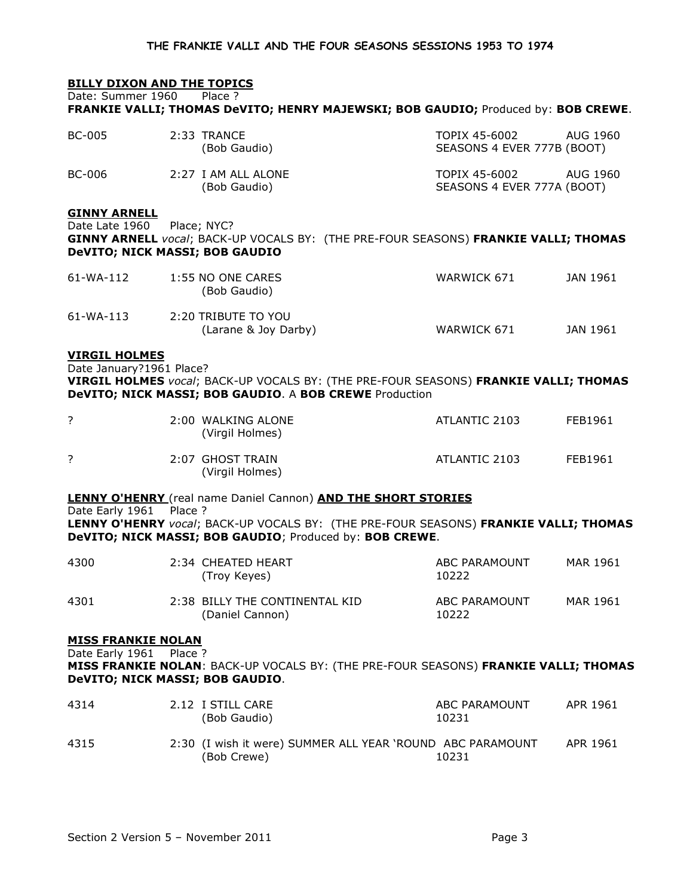# **BILLY DIXON AND THE TOPICS**

Date: Summer 1960 Place ?

FRANKIE VALLI; THOMAS DeVITO; HENRY MAJEWSKI; BOB GAUDIO; Produced by: BOB CREWE.

| <b>BC-005</b>                                                                  |         | 2:33 TRANCE<br>(Bob Gaudio)                                                                                                                     | TOPIX 45-6002<br>SEASONS 4 EVER 777B (BOOT) | <b>AUG 1960</b> |
|--------------------------------------------------------------------------------|---------|-------------------------------------------------------------------------------------------------------------------------------------------------|---------------------------------------------|-----------------|
| BC-006                                                                         |         | 2:27 I AM ALL ALONE<br>(Bob Gaudio)                                                                                                             | TOPIX 45-6002<br>SEASONS 4 EVER 777A (BOOT) | AUG 1960        |
| <b>GINNY ARNELL</b><br>Date Late 1960<br><b>DeVITO; NICK MASSI; BOB GAUDIO</b> |         | Place; NYC?<br>GINNY ARNELL vocal; BACK-UP VOCALS BY: (THE PRE-FOUR SEASONS) FRANKIE VALLI; THOMAS                                              |                                             |                 |
| 61-WA-112                                                                      |         | 1:55 NO ONE CARES<br>(Bob Gaudio)                                                                                                               | WARWICK 671                                 | JAN 1961        |
| 61-WA-113                                                                      |         | 2:20 TRIBUTE TO YOU<br>(Larane & Joy Darby)                                                                                                     | WARWICK 671                                 | JAN 1961        |
| <b>VIRGIL HOLMES</b><br>Date January?1961 Place?                               |         | VIRGIL HOLMES vocal; BACK-UP VOCALS BY: (THE PRE-FOUR SEASONS) FRANKIE VALLI; THOMAS<br>DeVITO; NICK MASSI; BOB GAUDIO. A BOB CREWE Production  |                                             |                 |
| ?                                                                              |         | 2:00 WALKING ALONE<br>(Virgil Holmes)                                                                                                           | ATLANTIC 2103                               | FEB1961         |
| ?                                                                              |         | 2:07 GHOST TRAIN<br>(Virgil Holmes)                                                                                                             | ATLANTIC 2103                               | FEB1961         |
|                                                                                |         | <b>LENNY O'HENRY</b> (real name Daniel Cannon) AND THE SHORT STORIES                                                                            |                                             |                 |
| Date Early 1961                                                                | Place ? | LENNY O'HENRY vocal; BACK-UP VOCALS BY: (THE PRE-FOUR SEASONS) FRANKIE VALLI; THOMAS<br>DeVITO; NICK MASSI; BOB GAUDIO; Produced by: BOB CREWE. |                                             |                 |
| 4300                                                                           |         | 2:34 CHEATED HEART<br>(Troy Keyes)                                                                                                              | ABC PARAMOUNT<br>10222                      | MAR 1961        |
| 4301                                                                           |         | 2:38 BILLY THE CONTINENTAL KID<br>(Daniel Cannon)                                                                                               | ABC PARAMOUNT<br>10222                      | MAR 1961        |
| <b>MISS FRANKIE NOLAN</b>                                                      |         |                                                                                                                                                 |                                             |                 |
| Date Early 1961 Place ?                                                        |         | MISS FRANKIE NOLAN: BACK-UP VOCALS BY: (THE PRE-FOUR SEASONS) FRANKIE VALLI; THOMAS<br>DeVITO; NICK MASSI; BOB GAUDIO.                          |                                             |                 |
| 4314                                                                           |         | 2.12 I STILL CARE<br>(Bob Gaudio)                                                                                                               | ABC PARAMOUNT<br>10231                      | APR 1961        |
| 4315                                                                           |         | 2:30 (I wish it were) SUMMER ALL YEAR 'ROUND ABC PARAMOUNT<br>(Bob Crewe)                                                                       | 10231                                       | APR 1961        |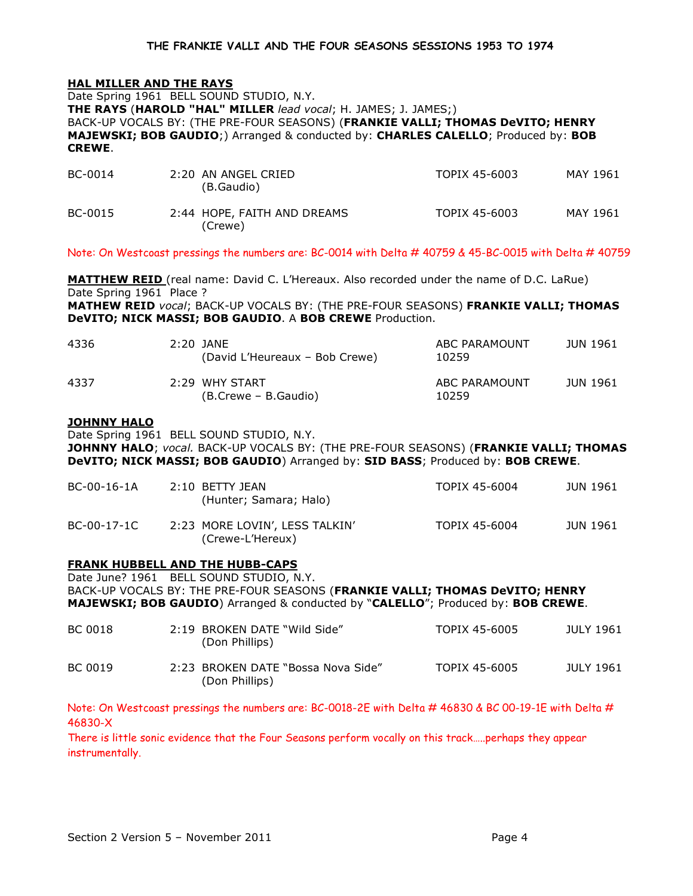# HAL MILLER AND THE RAYS

Date Spring 1961 BELL SOUND STUDIO, N.Y. THE RAYS (HAROLD "HAL" MILLER lead vocal; H. JAMES; J. JAMES;) BACK-UP VOCALS BY: (THE PRE-FOUR SEASONS) (FRANKIE VALLI; THOMAS DeVITO; HENRY MAJEWSKI; BOB GAUDIO;) Arranged & conducted by: CHARLES CALELLO; Produced by: BOB CREWE.

| BC-0014 | 2:20 AN ANGEL CRIED<br>(B.Gaudio)      | TOPIX 45-6003 | MAY 1961 |
|---------|----------------------------------------|---------------|----------|
| BC-0015 | 2:44 HOPE, FAITH AND DREAMS<br>(Crewe) | TOPIX 45-6003 | MAY 1961 |

Note: On Westcoast pressings the numbers are: BC-0014 with Delta # 40759 & 45-BC-0015 with Delta # 40759

MATTHEW REID (real name: David C. L'Hereaux. Also recorded under the name of D.C. LaRue) Date Spring 1961 Place ? MATHEW REID vocal; BACK-UP VOCALS BY: (THE PRE-FOUR SEASONS) FRANKIE VALLI; THOMAS DeVITO; NICK MASSI; BOB GAUDIO. A BOB CREWE Production.

| 4336 | 2:20 JANE<br>(David L'Heureaux – Bob Crewe) | ABC PARAMOUNT<br>10259 | JUN 1961 |
|------|---------------------------------------------|------------------------|----------|
| 4337 | 2:29 WHY START<br>(B.Crewe – B.Gaudio)      | ABC PARAMOUNT<br>10259 | JUN 1961 |

### JOHNNY HALO

Date Spring 1961 BELL SOUND STUDIO, N.Y.

JOHNNY HALO; vocal. BACK-UP VOCALS BY: (THE PRE-FOUR SEASONS) (FRANKIE VALLI; THOMAS DeVITO; NICK MASSI; BOB GAUDIO) Arranged by: SID BASS; Produced by: BOB CREWE.

| BC-00-16-1A | 2:10 BETTY JEAN<br>(Hunter; Samara; Halo)          | TOPIX 45-6004 | JUN 1961 |
|-------------|----------------------------------------------------|---------------|----------|
| BC-00-17-1C | 2:23 MORE LOVIN', LESS TALKIN'<br>(Crewe-L'Hereux) | TOPIX 45-6004 | JUN 1961 |

# FRANK HUBBELL AND THE HUBB-CAPS

Date June? 1961 BELL SOUND STUDIO, N.Y. BACK-UP VOCALS BY: THE PRE-FOUR SEASONS (FRANKIE VALLI; THOMAS DeVITO; HENRY MAJEWSKI; BOB GAUDIO) Arranged & conducted by "CALELLO"; Produced by: BOB CREWE.

| BC 0018 | 2:19 BROKEN DATE "Wild Side"<br>(Don Phillips)       | TOPIX 45-6005 | JULY 1961 |
|---------|------------------------------------------------------|---------------|-----------|
| BC 0019 | 2:23 BROKEN DATE "Bossa Nova Side"<br>(Don Phillips) | TOPIX 45-6005 | JULY 1961 |

Note: On Westcoast pressings the numbers are: BC-0018-2E with Delta # 46830 & BC 00-19-1E with Delta # 46830-X

There is little sonic evidence that the Four Seasons perform vocally on this track…..perhaps they appear instrumentally.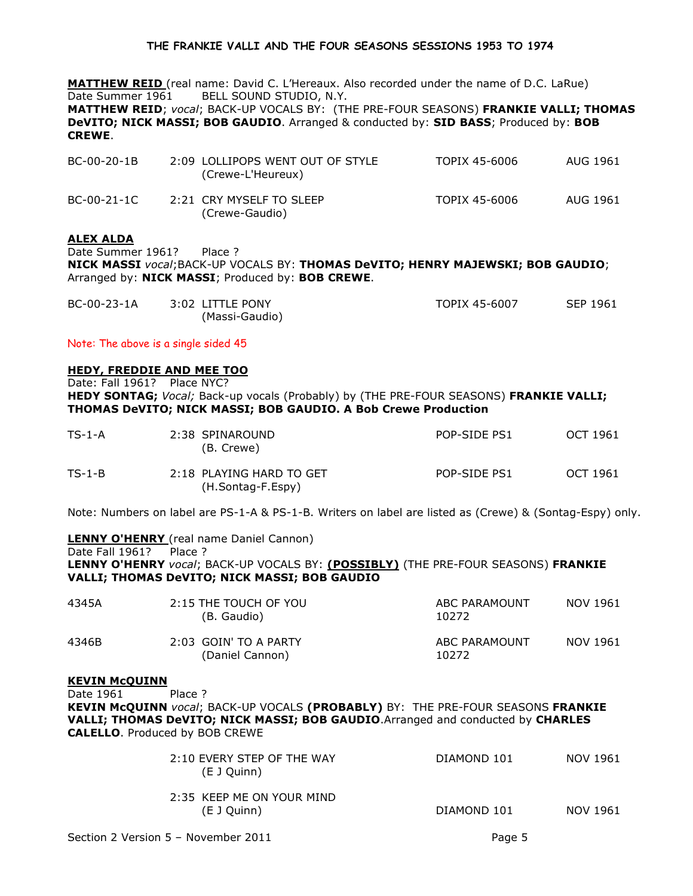MATTHEW REID (real name: David C. L'Hereaux. Also recorded under the name of D.C. LaRue) Date Summer 1961 BELL SOUND STUDIO, N.Y. MATTHEW REID; vocal; BACK-UP VOCALS BY: (THE PRE-FOUR SEASONS) FRANKIE VALLI; THOMAS DeVITO; NICK MASSI; BOB GAUDIO. Arranged & conducted by: SID BASS; Produced by: BOB CREWE.

| BC-00-20-1B | 2:09 LOLLIPOPS WENT OUT OF STYLE<br>(Crewe-L'Heureux) | TOPIX 45-6006 | AUG 1961 |
|-------------|-------------------------------------------------------|---------------|----------|
| BC-00-21-1C | 2:21 CRY MYSELF TO SLEEP<br>(Crewe-Gaudio)            | TOPIX 45-6006 | AUG 1961 |

### ALEX ALDA

Date Summer 1961? Place ? NICK MASSI vocal;BACK-UP VOCALS BY: THOMAS DeVITO; HENRY MAJEWSKI; BOB GAUDIO; Arranged by: NICK MASSI; Produced by: BOB CREWE.

| BC-00-23-1A | 3:02 LITTLE PONY | TOPIX 45-6007 | SEP 1961 |
|-------------|------------------|---------------|----------|
|             | (Massi-Gaudio)   |               |          |

Note: The above is a single sided 45

### HEDY, FREDDIE AND MEE TOO

Date: Fall 1961? Place NYC? HEDY SONTAG; Vocal; Back-up vocals (Probably) by (THE PRE-FOUR SEASONS) FRANKIE VALLI; THOMAS DeVITO; NICK MASSI; BOB GAUDIO. A Bob Crewe Production

| $TS-1-A$ | 2:38 SPINAROUND<br>(B. Crewe)                 | POP-SIDE PS1 | OCT 1961 |
|----------|-----------------------------------------------|--------------|----------|
| $TS-1-B$ | 2:18 PLAYING HARD TO GET<br>(H.Sontag-F.Espy) | POP-SIDE PS1 | OCT 1961 |

Note: Numbers on label are PS-1-A & PS-1-B. Writers on label are listed as (Crewe) & (Sontag-Espy) only.

LENNY O'HENRY (real name Daniel Cannon) Date Fall 1961? Place ? LENNY O'HENRY vocal; BACK-UP VOCALS BY: (POSSIBLY) (THE PRE-FOUR SEASONS) FRANKIE VALLI; THOMAS DeVITO; NICK MASSI; BOB GAUDIO

| 4345A | 2:15 THE TOUCH OF YOU<br>(B. Gaudio)     | ABC PARAMOUNT<br>10272 | NOV 1961 |
|-------|------------------------------------------|------------------------|----------|
| 4346B | 2:03 GOIN' TO A PARTY<br>(Daniel Cannon) | ABC PARAMOUNT<br>10272 | NOV 1961 |

# KEVIN McQUINN

Date 1961 Place ?

KEVIN McQUINN vocal; BACK-UP VOCALS (PROBABLY) BY: THE PRE-FOUR SEASONS FRANKIE VALLI; THOMAS DeVITO; NICK MASSI; BOB GAUDIO.Arranged and conducted by CHARLES CALELLO. Produced by BOB CREWE

| 2:10 EVERY STEP OF THE WAY<br>(E J Quinn) | DIAMOND 101 | NOV 1961 |
|-------------------------------------------|-------------|----------|
| 2:35 KEEP ME ON YOUR MIND<br>(E J Quinn)  | DIAMOND 101 | NOV 1961 |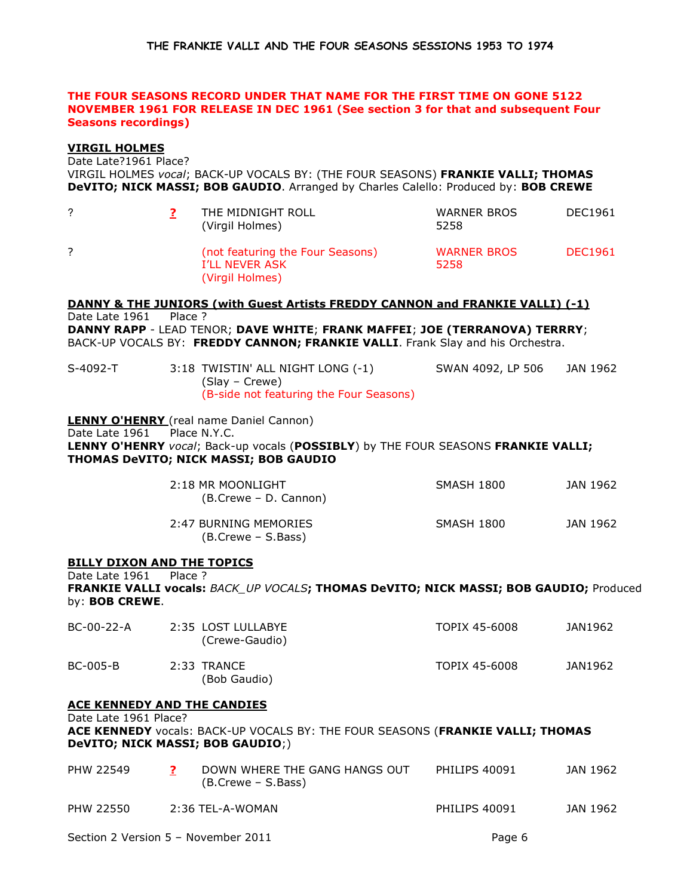# THE FOUR SEASONS RECORD UNDER THAT NAME FOR THE FIRST TIME ON GONE 5122 NOVEMBER 1961 FOR RELEASE IN DEC 1961 (See section 3 for that and subsequent Four Seasons recordings)

# VIRGIL HOLMES

Date Late?1961 Place?

VIRGIL HOLMES vocal; BACK-UP VOCALS BY: (THE FOUR SEASONS) FRANKIE VALLI; THOMAS DeVITO; NICK MASSI; BOB GAUDIO. Arranged by Charles Calello: Produced by: BOB CREWE

|  | THE MIDNIGHT ROLL<br>(Virgil Holmes)                                  | <b>WARNER BROS</b><br>5258 | DEC1961        |
|--|-----------------------------------------------------------------------|----------------------------|----------------|
|  | (not featuring the Four Seasons)<br>I'LL NEVER ASK<br>(Virgil Holmes) | <b>WARNER BROS</b><br>5258 | <b>DEC1961</b> |

DANNY & THE JUNIORS (with Guest Artists FREDDY CANNON and FRANKIE VALLI) (-1) Date Late 1961 Place ? DANNY RAPP - LEAD TENOR; DAVE WHITE; FRANK MAFFEI; JOE (TERRANOVA) TERRRY; BACK-UP VOCALS BY: FREDDY CANNON; FRANKIE VALLI. Frank Slay and his Orchestra.

| S-4092-T | 3:18 TWISTIN' ALL NIGHT LONG (-1)       | SWAN 4092, LP 506 | JAN 1962 |
|----------|-----------------------------------------|-------------------|----------|
|          | (Slay – Crewe)                          |                   |          |
|          | (B-side not featuring the Four Seasons) |                   |          |

**LENNY O'HENRY** (real name Daniel Cannon) Date Late 1961 Place N.Y.C. LENNY O'HENRY vocal; Back-up vocals (POSSIBLY) by THE FOUR SEASONS FRANKIE VALLI; THOMAS DeVITO; NICK MASSI; BOB GAUDIO

| 2:18 MR MOONLIGHT<br>(B.Crewe – D. Cannon)  | SMASH 1800 | JAN 1962 |
|---------------------------------------------|------------|----------|
| 2:47 BURNING MEMORIES<br>(B.Crewe – S.Bass) | SMASH 1800 | JAN 1962 |

### **BILLY DIXON AND THE TOPICS**

Date Late 1961 Place ? FRANKIE VALLI vocals: BACK\_UP VOCALS; THOMAS DeVITO; NICK MASSI; BOB GAUDIO; Produced by: BOB CREWE.

| BC-00-22-A      | 2:35 LOST LULLABYE<br>(Crewe-Gaudio) | TOPIX 45-6008 | JAN1962 |
|-----------------|--------------------------------------|---------------|---------|
| <b>BC-005-B</b> | 2:33 TRANCE<br>(Bob Gaudio)          | TOPIX 45-6008 | JAN1962 |

### ACE KENNEDY AND THE CANDIES

Date Late 1961 Place? ACE KENNEDY vocals: BACK-UP VOCALS BY: THE FOUR SEASONS (FRANKIE VALLI; THOMAS DeVITO; NICK MASSI; BOB GAUDIO;)

| PHW 22549 | DOWN WHERE THE GANG HANGS OUT<br>(B.Crewe – S.Bass) | PHILIPS 40091 | JAN 1962 |
|-----------|-----------------------------------------------------|---------------|----------|
| PHW 22550 | 2:36 TEL-A-WOMAN                                    | PHILIPS 40091 | JAN 1962 |

Section 2 Version 5 – November 2011 **Page 6**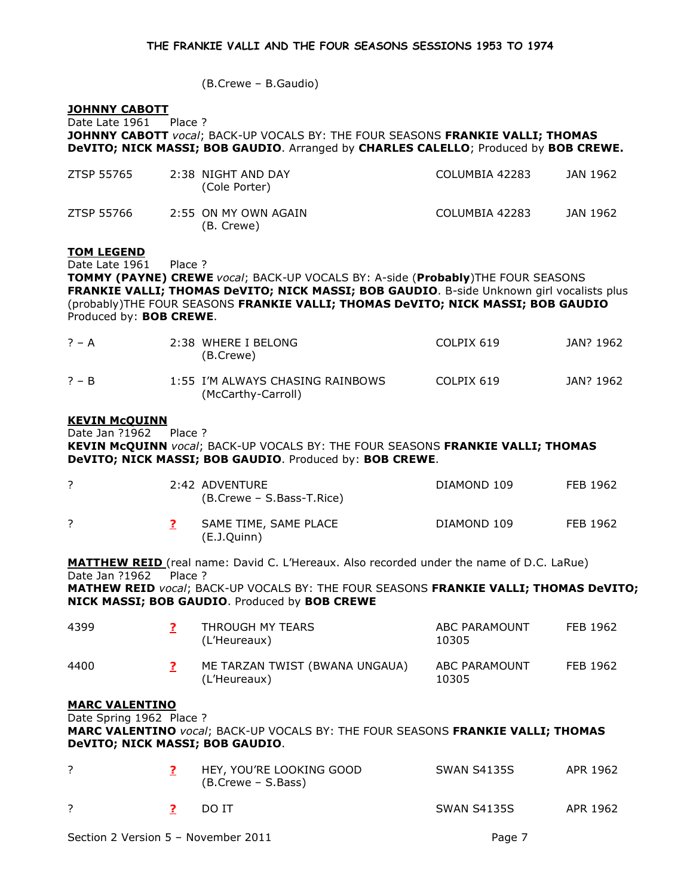(B.Crewe – B.Gaudio)

### JOHNNY CABOTT

Date Late 1961 Place ? JOHNNY CABOTT vocal; BACK-UP VOCALS BY: THE FOUR SEASONS FRANKIE VALLI; THOMAS DeVITO; NICK MASSI; BOB GAUDIO. Arranged by CHARLES CALELLO; Produced by BOB CREWE.

| ZTSP 55765 | 2:38 NIGHT AND DAY<br>(Cole Porter) | COLUMBIA 42283 | JAN 1962 |
|------------|-------------------------------------|----------------|----------|
| ZTSP 55766 | 2:55 ON MY OWN AGAIN<br>(B. Crewe)  | COLUMBIA 42283 | JAN 1962 |

# TOM LEGEND

Date Late 1961 Place ?

TOMMY (PAYNE) CREWE vocal; BACK-UP VOCALS BY: A-side (Probably)THE FOUR SEASONS FRANKIE VALLI; THOMAS DeVITO; NICK MASSI; BOB GAUDIO. B-side Unknown girl vocalists plus (probably)THE FOUR SEASONS FRANKIE VALLI; THOMAS DeVITO; NICK MASSI; BOB GAUDIO Produced by: BOB CREWE.

| $? - A$ | 2:38 WHERE I BELONG<br>(B.Crewe)                       | COLPIX 619 | JAN? 1962 |
|---------|--------------------------------------------------------|------------|-----------|
| $? - B$ | 1:55 I'M ALWAYS CHASING RAINBOWS<br>(McCarthy-Carroll) | COLPIX 619 | JAN? 1962 |

## KEVIN McQUINN

Date Jan ?1962 Place ? KEVIN McQUINN vocal; BACK-UP VOCALS BY: THE FOUR SEASONS FRANKIE VALLI; THOMAS DeVITO; NICK MASSI; BOB GAUDIO. Produced by: BOB CREWE.

|  | 2:42 ADVENTURE<br>(B.Crewe – S.Bass-T.Rice) | DIAMOND 109 | FEB 1962 |
|--|---------------------------------------------|-------------|----------|
|  | SAME TIME, SAME PLACE<br>(E.J.Quinn)        | DIAMOND 109 | FEB 1962 |

MATTHEW REID (real name: David C. L'Hereaux. Also recorded under the name of D.C. LaRue) Date Jan ?1962 Place ? MATHEW REID vocal; BACK-UP VOCALS BY: THE FOUR SEASONS FRANKIE VALLI; THOMAS DeVITO; NICK MASSI; BOB GAUDIO. Produced by BOB CREWE

| 4399                   | THROUGH MY TEARS<br>(L'Heureaux)               | ABC PARAMOUNT<br>10305 | FEB 1962 |
|------------------------|------------------------------------------------|------------------------|----------|
| 4400                   | ME TARZAN TWIST (BWANA UNGAUA)<br>(L'Heureaux) | ABC PARAMOUNT<br>10305 | FEB 1962 |
| <b>MARC VAI FNTINO</b> |                                                |                        |          |

### <u>MARC VALENTINO</u>

Date Spring 1962 Place ? MARC VALENTINO vocal; BACK-UP VOCALS BY: THE FOUR SEASONS FRANKIE VALLI; THOMAS DeVITO; NICK MASSI; BOB GAUDIO.

|  | HEY, YOU'RE LOOKING GOOD<br>(B.Crewe – S.Bass) | <b>SWAN S4135S</b> | APR 1962 |
|--|------------------------------------------------|--------------------|----------|
|  | DO IT                                          | <b>SWAN S4135S</b> | APR 1962 |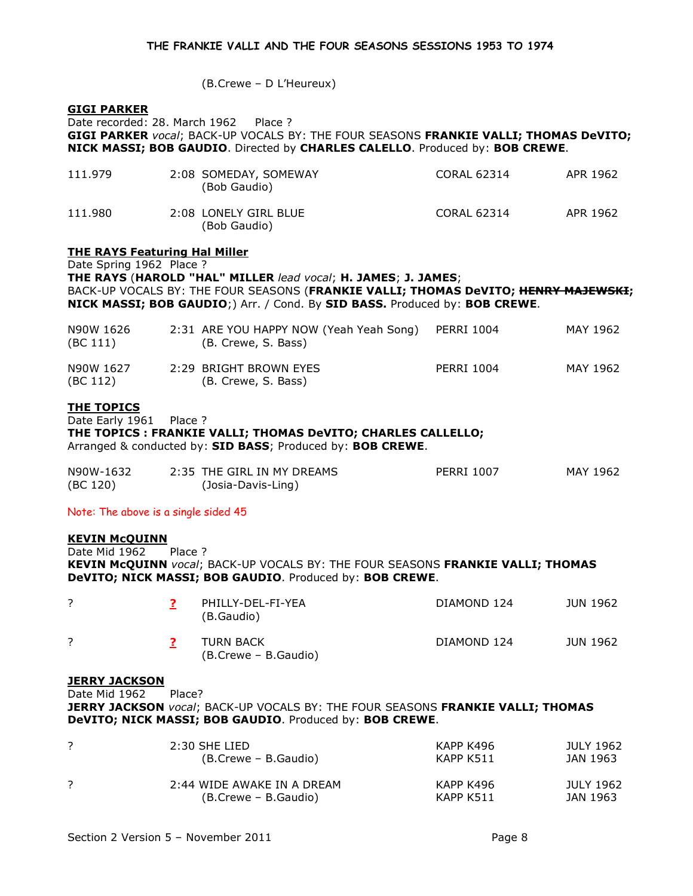(B.Crewe – D L'Heureux)

# GIGI PARKER

Date recorded: 28. March 1962 Place ? GIGI PARKER vocal; BACK-UP VOCALS BY: THE FOUR SEASONS FRANKIE VALLI; THOMAS DeVITO; NICK MASSI; BOB GAUDIO. Directed by CHARLES CALELLO. Produced by: BOB CREWE.

| 111.979 | 2:08 SOMEDAY, SOMEWAY<br>(Bob Gaudio) | <b>CORAL 62314</b> | APR 1962 |
|---------|---------------------------------------|--------------------|----------|
| 111.980 | 2:08 LONELY GIRL BLUE<br>(Bob Gaudio) | CORAL 62314        | APR 1962 |

# THE RAYS Featuring Hal Miller

Date Spring 1962 Place ? THE RAYS (HAROLD "HAL" MILLER lead vocal; H. JAMES; J. JAMES; BACK-UP VOCALS BY: THE FOUR SEASONS (FRANKIE VALLI; THOMAS DeVITO; HENRY MAJEWSKI; NICK MASSI; BOB GAUDIO;) Arr. / Cond. By SID BASS. Produced by: BOB CREWE.

| N90W 1626<br>(BC 111) | 2:31 ARE YOU HAPPY NOW (Yeah Yeah Song)<br>(B. Crewe, S. Bass) | <b>PERRI 1004</b> | MAY 1962 |
|-----------------------|----------------------------------------------------------------|-------------------|----------|
| N90W 1627<br>(BC 112) | 2:29 BRIGHT BROWN EYES<br>(B. Crewe, S. Bass)                  | <b>PERRI 1004</b> | MAY 1962 |

# THE TOPICS

Date Early 1961 Place ? THE TOPICS : FRANKIE VALLI; THOMAS DeVITO; CHARLES CALLELLO; Arranged & conducted by: SID BASS; Produced by: BOB CREWE.

| N90W-1632 | 2:35 THE GIRL IN MY DREAMS | <b>PERRI 1007</b> | MAY 1962 |
|-----------|----------------------------|-------------------|----------|
| (BC 120)  | (Josia-Davis-Ling)         |                   |          |

Note: The above is a single sided 45

### KEVIN McQUINN

Date Mid 1962 Place ? KEVIN McQUINN vocal; BACK-UP VOCALS BY: THE FOUR SEASONS FRANKIE VALLI; THOMAS DeVITO; NICK MASSI; BOB GAUDIO. Produced by: BOB CREWE.

|  | PHILLY-DEL-FI-YEA<br>(B.Gaudio)   | DIAMOND 124 | JUN 1962 |
|--|-----------------------------------|-------------|----------|
|  | TURN BACK<br>(B.Crewe – B.Gaudio) | DIAMOND 124 | JUN 1962 |

# JERRY JACKSON

Date Mid 1962 Place?

JERRY JACKSON vocal; BACK-UP VOCALS BY: THE FOUR SEASONS FRANKIE VALLI; THOMAS DeVITO; NICK MASSI; BOB GAUDIO. Produced by: BOB CREWE.

| $2:30$ SHE LIED            | KAPP K496 | JULY 1962 |
|----------------------------|-----------|-----------|
| (B.Crewe – B.Gaudio)       | KAPP K511 | JAN 1963  |
| 2:44 WIDE AWAKE IN A DREAM | КАРР К496 | JULY 1962 |
| (B.Crewe – B.Gaudio)       | KAPP K511 | JAN 1963  |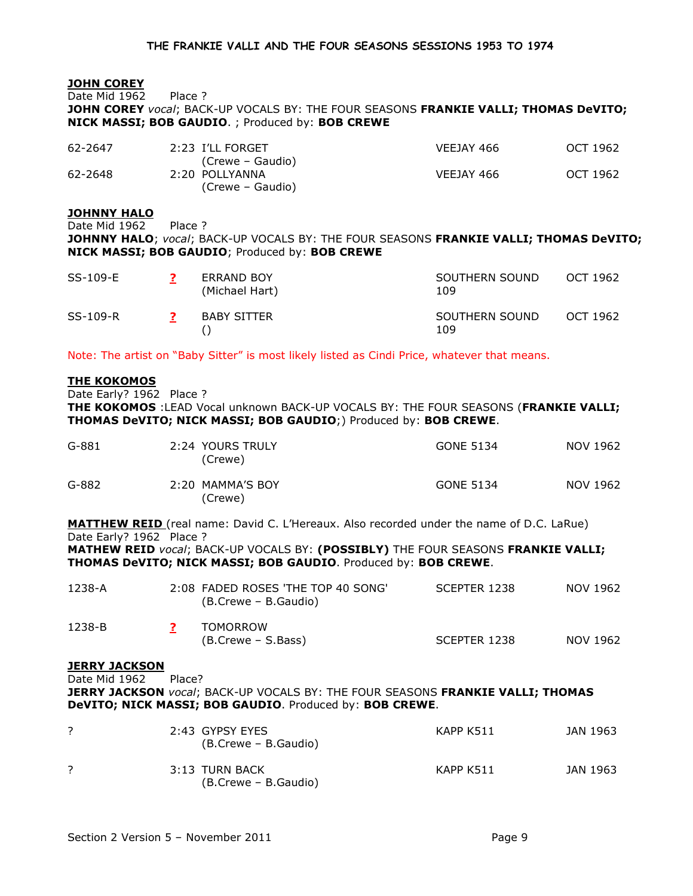# JOHN COREY

Date Mid 1962 Place ? JOHN COREY vocal; BACK-UP VOCALS BY: THE FOUR SEASONS FRANKIE VALLI; THOMAS DeVITO; NICK MASSI; BOB GAUDIO. ; Produced by: BOB CREWE

| 62-2647 | 2:23 I'LL FORGET | VEEJAY 466 | OCT 1962 |
|---------|------------------|------------|----------|
|         | (Crewe – Gaudio) |            |          |
| 62-2648 | 2:20 POLLYANNA   | VEEJAY 466 | OCT 1962 |
|         | (Crewe – Gaudio) |            |          |

### **JOHNNY HALO**

Date Mid 1962 Place ? JOHNNY HALO; vocal; BACK-UP VOCALS BY: THE FOUR SEASONS FRANKIE VALLI; THOMAS DeVITO; NICK MASSI; BOB GAUDIO; Produced by: BOB CREWE

| SS-109-E | <b>ERRAND BOY</b><br>(Michael Hart) | SOUTHERN SOUND<br>109 | OCT 1962 |
|----------|-------------------------------------|-----------------------|----------|
| SS-109-R | <b>BABY SITTER</b>                  | SOUTHERN SOUND<br>109 | OCT 1962 |

Note: The artist on "Baby Sitter" is most likely listed as Cindi Price, whatever that means.

### THE KOKOMOS

Date Early? 1962 Place ?

THE KOKOMOS : LEAD Vocal unknown BACK-UP VOCALS BY: THE FOUR SEASONS (FRANKIE VALLI; THOMAS DeVITO; NICK MASSI; BOB GAUDIO;) Produced by: BOB CREWE.

| $G-881$ | 2:24 YOURS TRULY<br>(Crewe) | GONE 5134 | NOV 1962 |
|---------|-----------------------------|-----------|----------|
| $G-882$ | 2:20 MAMMA'S BOY<br>(Crewe) | GONE 5134 | NOV 1962 |

MATTHEW REID (real name: David C. L'Hereaux. Also recorded under the name of D.C. LaRue) Date Early? 1962 Place ?

MATHEW REID vocal; BACK-UP VOCALS BY: (POSSIBLY) THE FOUR SEASONS FRANKIE VALLI; THOMAS DeVITO; NICK MASSI; BOB GAUDIO. Produced by: BOB CREWE.

| 1238-A | 2:08 FADED ROSES 'THE TOP 40 SONG'<br>(B.Crewe – B.Gaudio) | SCEPTER 1238 | NOV 1962 |
|--------|------------------------------------------------------------|--------------|----------|
| 1238-B | <b>TOMORROW</b><br>(B.Crewe – S.Bass)                      | SCEPTER 1238 | NOV 1962 |

## **JERRY JACKSON**

Date Mid 1962 Place? JERRY JACKSON vocal; BACK-UP VOCALS BY: THE FOUR SEASONS FRANKIE VALLI; THOMAS DeVITO; NICK MASSI; BOB GAUDIO. Produced by: BOB CREWE.

| 2:43 GYPSY EYES<br>(B.Crewe – B.Gaudio) | KAPP K511 | JAN 1963 |
|-----------------------------------------|-----------|----------|
| 3:13 TURN BACK<br>(B.Crewe – B.Gaudio)  | KAPP K511 | JAN 1963 |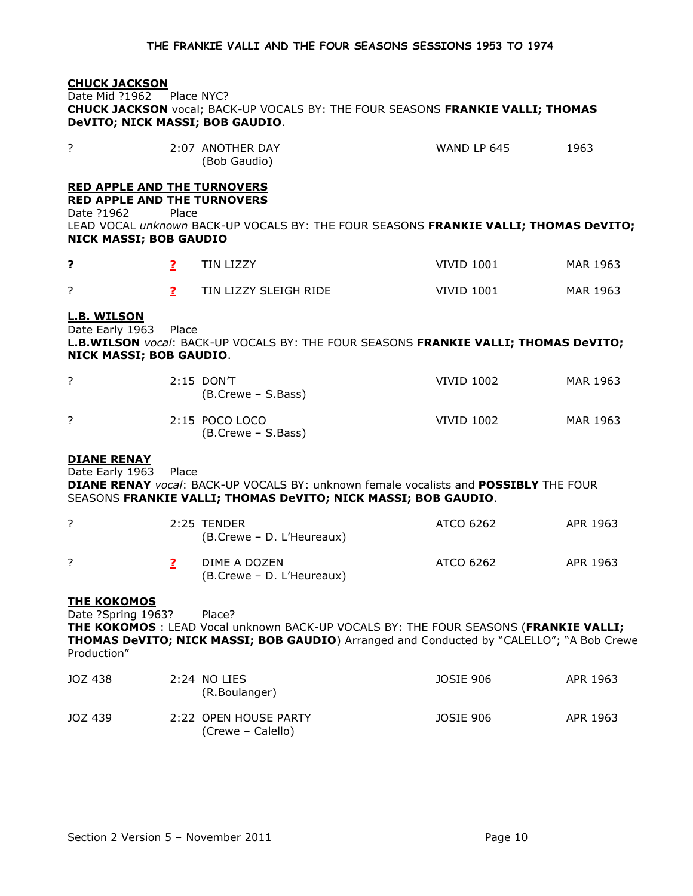# CHUCK JACKSON

Date Mid ?1962 Place NYC? CHUCK JACKSON vocal; BACK-UP VOCALS BY: THE FOUR SEASONS FRANKIE VALLI; THOMAS DeVITO; NICK MASSI; BOB GAUDIO.

| ∽ | 2:07 ANOTHER DAY | WAND LP 645 | 1963 |
|---|------------------|-------------|------|
|   | (Bob Gaudio)     |             |      |

# RED APPLE AND THE TURNOVERS

RED APPLE AND THE TURNOVERS Date ?1962 Place

LEAD VOCAL unknown BACK-UP VOCALS BY: THE FOUR SEASONS FRANKIE VALLI; THOMAS DeVITO; NICK MASSI; BOB GAUDIO

|                          | TIN LIZZY             | VIVID 1001        | MAR 1963 |
|--------------------------|-----------------------|-------------------|----------|
| $\overline{\phantom{0}}$ | TIN LIZZY SLEIGH RIDE | <b>VIVID 1001</b> | MAR 1963 |

# L.B. WILSON

Date Early 1963 Place

L.B.WILSON vocal: BACK-UP VOCALS BY: THE FOUR SEASONS FRANKIE VALLI; THOMAS DeVITO; NICK MASSI; BOB GAUDIO.

| $2:15$ DONT<br>(B.Crewe – S.Bass)    | <b>VIVID 1002</b> | MAR 1963 |
|--------------------------------------|-------------------|----------|
| 2:15 POCO LOCO<br>(B.Crewe – S.Bass) | VIVID 1002        | MAR 1963 |

### DIANE RENAY

Date Early 1963 Place

DIANE RENAY vocal: BACK-UP VOCALS BY: unknown female vocalists and POSSIBLY THE FOUR SEASONS FRANKIE VALLI; THOMAS DeVITO; NICK MASSI; BOB GAUDIO.

|  | 2:25 TENDER<br>(B.Crewe – D. L'Heureaux)  | ATCO 6262 | APR 1963 |
|--|-------------------------------------------|-----------|----------|
|  | DIME A DOZEN<br>(B.Crewe – D. L'Heureaux) | ATCO 6262 | APR 1963 |

### **THE KOKOMOS**

Date ?Spring 1963? Place?

THE KOKOMOS : LEAD Vocal unknown BACK-UP VOCALS BY: THE FOUR SEASONS (FRANKIE VALLI; THOMAS DeVITO; NICK MASSI; BOB GAUDIO) Arranged and Conducted by "CALELLO"; "A Bob Crewe Production"

| JOZ 438 | 2:24 NO LIES<br>(R.Boulanger)              | JOSIE 906 | APR 1963 |
|---------|--------------------------------------------|-----------|----------|
| JOZ 439 | 2:22 OPEN HOUSE PARTY<br>(Crewe – Calello) | JOSIE 906 | APR 1963 |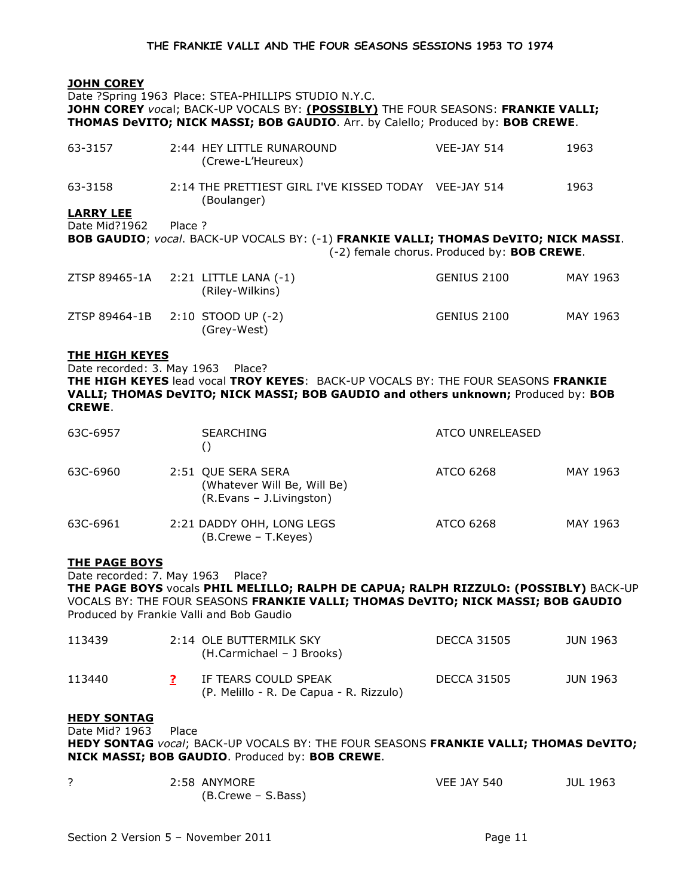# JOHN COREY

Date ?Spring 1963 Place: STEA-PHILLIPS STUDIO N.Y.C. JOHN COREY vocal; BACK-UP VOCALS BY: (POSSIBLY) THE FOUR SEASONS: FRANKIE VALLI; THOMAS DeVITO; NICK MASSI; BOB GAUDIO. Arr. by Calello; Produced by: BOB CREWE. 63-3157 2:44 HEY LITTLE RUNAROUND VEE-JAY 514 1963 (Crewe-L'Heureux) 63-3158 2:14 THE PRETTIEST GIRL I'VE KISSED TODAY VEE-JAY 514 1963 (Boulanger) LARRY LEE Date Mid?1962 Place ? BOB GAUDIO; vocal. BACK-UP VOCALS BY: (-1) FRANKIE VALLI; THOMAS DeVITO; NICK MASSI. (-2) female chorus. Produced by: BOB CREWE. ZTSP 89465-1A 2:21 LITTLE LANA (-1) GENIUS 2100 MAY 1963 (Riley-Wilkins) ZTSP 89464-1B 2:10 STOOD UP (-2) GENIUS 2100 MAY 1963 (Grey-West)

## THE HIGH KEYES

Date recorded: 3. May 1963 Place? THE HIGH KEYES lead vocal TROY KEYES: BACK-UP VOCALS BY: THE FOUR SEASONS FRANKIE VALLI; THOMAS DeVITO; NICK MASSI; BOB GAUDIO and others unknown; Produced by: BOB CREWE.

| 63C-6957 | <b>SEARCHING</b>                                                              | ATCO UNRELEASED |          |
|----------|-------------------------------------------------------------------------------|-----------------|----------|
| 63C-6960 | 2:51 QUE SERA SERA<br>(Whatever Will Be, Will Be)<br>(R.Evans - J.Livingston) | ATCO 6268       | MAY 1963 |
| 63C-6961 | 2:21 DADDY OHH, LONG LEGS<br>(B.Crewe - T.Keyes)                              | ATCO 6268       | MAY 1963 |

# THE PAGE BOYS

Date recorded: 7. May 1963 Place?

THE PAGE BOYS vocals PHIL MELILLO; RALPH DE CAPUA; RALPH RIZZULO: (POSSIBLY) BACK-UP VOCALS BY: THE FOUR SEASONS FRANKIE VALLI; THOMAS DeVITO; NICK MASSI; BOB GAUDIO Produced by Frankie Valli and Bob Gaudio

| 113439 | 2:14 OLE BUTTERMILK SKY<br>(H.Carmichael - J Brooks)            | <b>DECCA 31505</b> | JUN 1963 |
|--------|-----------------------------------------------------------------|--------------------|----------|
| 113440 | IF TEARS COULD SPEAK<br>(P. Melillo - R. De Capua - R. Rizzulo) | DECCA 31505        | JUN 1963 |

# HEDY SONTAG

Date Mid? 1963 Place

HEDY SONTAG vocal: BACK-UP VOCALS BY: THE FOUR SEASONS FRANKIE VALLI: THOMAS DeVITO: NICK MASSI; BOB GAUDIO. Produced by: BOB CREWE.

| 2:58 ANYMORE       | <b>VEE JAY 540</b> | <b>JUL 1963</b> |
|--------------------|--------------------|-----------------|
| (B.Crewe – S.Bass) |                    |                 |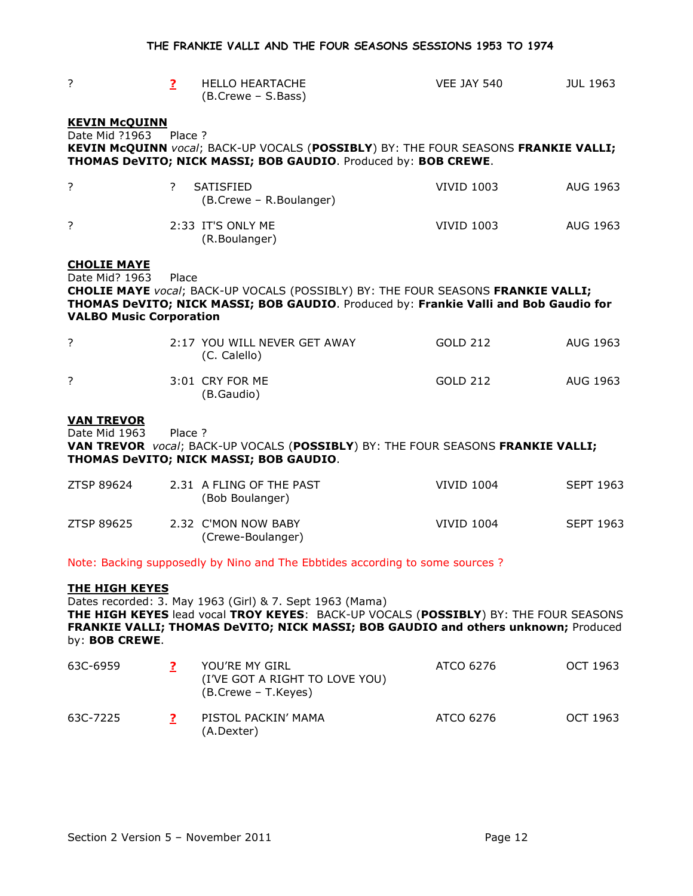| ?                                                                      | $\overline{2}$ | <b>HELLO HEARTACHE</b><br>(B.Crewe - S.Bass)                                                                                                                                                                                          | VEE JAY 540       | <b>JUL 1963</b>  |
|------------------------------------------------------------------------|----------------|---------------------------------------------------------------------------------------------------------------------------------------------------------------------------------------------------------------------------------------|-------------------|------------------|
| <b>KEVIN MCQUINN</b><br>Date Mid ?1963                                 | Place ?        | KEVIN McQUINN vocal; BACK-UP VOCALS (POSSIBLY) BY: THE FOUR SEASONS FRANKIE VALLI;<br>THOMAS DeVITO; NICK MASSI; BOB GAUDIO. Produced by: BOB CREWE.                                                                                  |                   |                  |
| $\overline{?}$                                                         | $\overline{?}$ | <b>SATISFIED</b><br>(B.Crewe - R.Boulanger)                                                                                                                                                                                           | <b>VIVID 1003</b> | AUG 1963         |
| ?                                                                      |                | 2:33 IT'S ONLY ME<br>(R.Boulanger)                                                                                                                                                                                                    | <b>VIVID 1003</b> | AUG 1963         |
| <b>CHOLIE MAYE</b><br>Date Mid? 1963<br><b>VALBO Music Corporation</b> | Place          | <b>CHOLIE MAYE</b> vocal; BACK-UP VOCALS (POSSIBLY) BY: THE FOUR SEASONS FRANKIE VALLI;<br>THOMAS DeVITO; NICK MASSI; BOB GAUDIO. Produced by: Frankie Valli and Bob Gaudio for                                                       |                   |                  |
| ?                                                                      |                | 2:17 YOU WILL NEVER GET AWAY<br>(C. Calello)                                                                                                                                                                                          | <b>GOLD 212</b>   | AUG 1963         |
| ?                                                                      |                | 3:01 CRY FOR ME<br>(B.Gaudio)                                                                                                                                                                                                         | GOLD 212          | AUG 1963         |
| <b>VAN TREVOR</b><br>Date Mid 1963                                     | Place ?        | VAN TREVOR vocal; BACK-UP VOCALS (POSSIBLY) BY: THE FOUR SEASONS FRANKIE VALLI;<br>THOMAS DeVITO; NICK MASSI; BOB GAUDIO.                                                                                                             |                   |                  |
| ZTSP 89624                                                             |                | 2.31 A FLING OF THE PAST<br>(Bob Boulanger)                                                                                                                                                                                           | <b>VIVID 1004</b> | <b>SEPT 1963</b> |
| ZTSP 89625                                                             |                | 2.32 C'MON NOW BABY<br>(Crewe-Boulanger)                                                                                                                                                                                              | <b>VIVID 1004</b> | <b>SEPT 1963</b> |
|                                                                        |                | Note: Backing supposedly by Nino and The Ebbtides according to some sources ?                                                                                                                                                         |                   |                  |
| <b>THE HIGH KEYES</b><br>by: BOB CREWE.                                |                | Dates recorded: 3. May 1963 (Girl) & 7. Sept 1963 (Mama)<br>THE HIGH KEYES lead vocal TROY KEYES: BACK-UP VOCALS (POSSIBLY) BY: THE FOUR SEASONS<br>FRANKIE VALLI; THOMAS DeVITO; NICK MASSI; BOB GAUDIO and others unknown; Produced |                   |                  |
| 63C-6959                                                               | $\mathbf{P}$   | YOU'RE MY GIRL                                                                                                                                                                                                                        | ATCO 6276         | OCT 1963         |

| , CCC JUU | וויים וויו שטטו<br>(I'VE GOT A RIGHT TO LOVE YOU)<br>(B.Crewe – T.Keyes) | <b>AI YY VY</b> | <b>UUI 170J</b> |
|-----------|--------------------------------------------------------------------------|-----------------|-----------------|
| 63C-7225  | PISTOL PACKIN' MAMA<br>(A.Dexter)                                        | ATCO 6276       | OCT 1963        |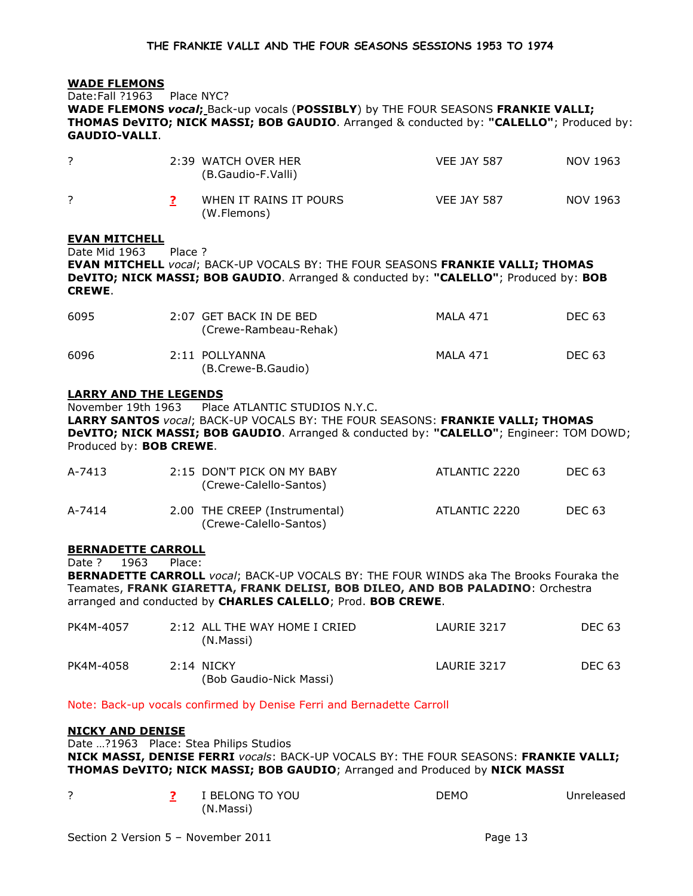### WADE FLEMONS

Date:Fall ?1963 Place NYC?

WADE FLEMONS vocal; Back-up vocals (POSSIBLY) by THE FOUR SEASONS FRANKIE VALLI; THOMAS DeVITO; NICK MASSI; BOB GAUDIO. Arranged & conducted by: "CALELLO"; Produced by: GAUDIO-VALLI.

|  | 2:39 WATCH OVER HER<br>(B.Gaudio-F.Valli) | <b>VEE JAY 587</b> | NOV 1963 |
|--|-------------------------------------------|--------------------|----------|
|  | WHEN IT RAINS IT POURS<br>(W.Flemons)     | <b>VEE JAY 587</b> | NOV 1963 |

### EVAN MITCHELL

Date Mid 1963 Place ?

EVAN MITCHELL vocal; BACK-UP VOCALS BY: THE FOUR SEASONS FRANKIE VALLI; THOMAS DeVITO; NICK MASSI; BOB GAUDIO. Arranged & conducted by: "CALELLO"; Produced by: BOB CREWE.

| 6095 | 2:07 GET BACK IN DE BED<br>(Crewe-Rambeau-Rehak) | MAI A 471 | DEC 63 |
|------|--------------------------------------------------|-----------|--------|
| 6096 | 2:11 POLLYANNA<br>(B.Crewe-B.Gaudio)             | MAI A 471 | DEC 63 |

## LARRY AND THE LEGENDS

November 19th 1963 Place ATLANTIC STUDIOS N.Y.C.

LARRY SANTOS vocal; BACK-UP VOCALS BY: THE FOUR SEASONS: FRANKIE VALLI; THOMAS DeVITO; NICK MASSI; BOB GAUDIO. Arranged & conducted by: "CALELLO"; Engineer: TOM DOWD; Produced by: BOB CREWE.

| A-7413 | 2:15 DON'T PICK ON MY BABY<br>(Crewe-Calello-Santos)    | ATLANTIC 2220 | DEC 63 |
|--------|---------------------------------------------------------|---------------|--------|
| A-7414 | 2.00 THE CREEP (Instrumental)<br>(Crewe-Calello-Santos) | ATLANTIC 2220 | DEC 63 |

### BERNADETTE CARROLL

Date ? 1963 Place:

BERNADETTE CARROLL vocal; BACK-UP VOCALS BY: THE FOUR WINDS aka The Brooks Fouraka the Teamates, FRANK GIARETTA, FRANK DELISI, BOB DILEO, AND BOB PALADINO: Orchestra arranged and conducted by CHARLES CALELLO; Prod. BOB CREWE.

| PK4M-4057 | 2:12 ALL THE WAY HOME I CRIED<br>(N.Massi) | LAURIE 3217 | DEC 63 |
|-----------|--------------------------------------------|-------------|--------|
| PK4M-4058 | $2:14$ NICKY<br>(Bob Gaudio-Nick Massi)    | LAURIE 3217 | DEC 63 |

### Note: Back-up vocals confirmed by Denise Ferri and Bernadette Carroll

### NICKY AND DENISE

Date …?1963 Place: Stea Philips Studios NICK MASSI, DENISE FERRI vocals: BACK-UP VOCALS BY: THE FOUR SEASONS: FRANKIE VALLI; THOMAS DeVITO; NICK MASSI; BOB GAUDIO; Arranged and Produced by NICK MASSI

|  | I BELONG TO YOU | DEMO | Unreleased |
|--|-----------------|------|------------|
|  | (N.Massi)       |      |            |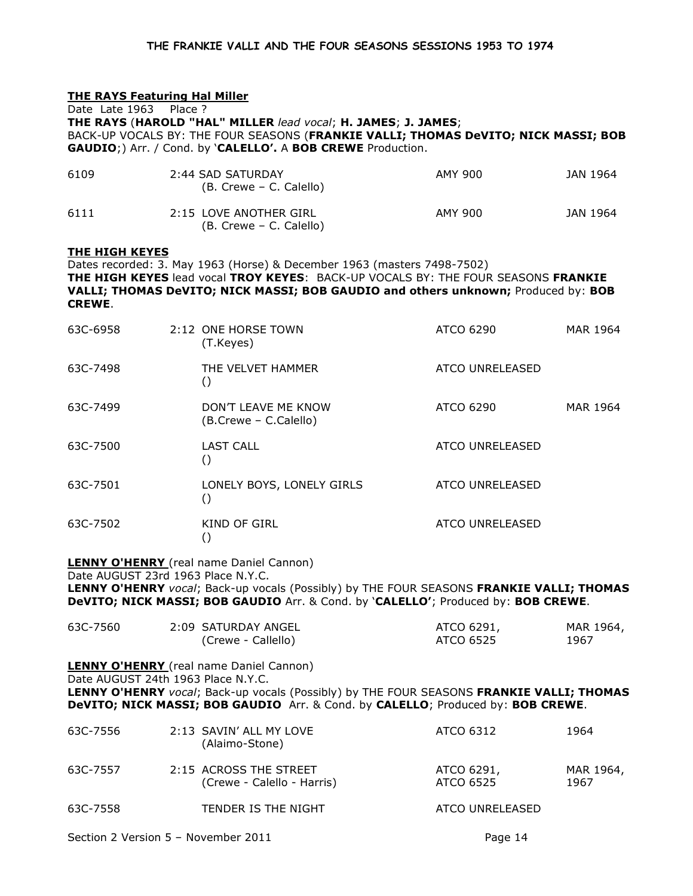# THE RAYS Featuring Hal Miller

Date Late 1963 Place ? THE RAYS (HAROLD "HAL" MILLER lead vocal; H. JAMES; J. JAMES; BACK-UP VOCALS BY: THE FOUR SEASONS (FRANKIE VALLI; THOMAS DeVITO; NICK MASSI; BOB GAUDIO;) Arr. / Cond. by 'CALELLO'. A BOB CREWE Production.

| 6109 | 2:44 SAD SATURDAY<br>(B. Crewe – C. Calello)      | AMY 900 | JAN 1964 |
|------|---------------------------------------------------|---------|----------|
| 6111 | 2:15 LOVE ANOTHER GIRL<br>(B. Crewe – C. Calello) | AMY 900 | JAN 1964 |

## THE HIGH KEYES

Dates recorded: 3. May 1963 (Horse) & December 1963 (masters 7498-7502) THE HIGH KEYES lead vocal TROY KEYES: BACK-UP VOCALS BY: THE FOUR SEASONS FRANKIE VALLI; THOMAS DeVITO; NICK MASSI; BOB GAUDIO and others unknown; Produced by: BOB CREWE.

| 63C-6958 | 2:12 ONE HORSE TOWN<br>(T.Keyes)              | ATCO 6290              | MAR 1964 |
|----------|-----------------------------------------------|------------------------|----------|
| 63C-7498 | THE VELVET HAMMER<br>C                        | ATCO UNRELEASED        |          |
| 63C-7499 | DON'T LEAVE ME KNOW<br>(B.Crewe - C.Calello)  | ATCO 6290              | MAR 1964 |
| 63C-7500 | <b>LAST CALL</b><br>$\left(\right)$           | <b>ATCO UNRELEASED</b> |          |
| 63C-7501 | LONELY BOYS, LONELY GIRLS<br>$\left( \right)$ | <b>ATCO UNRELEASED</b> |          |
| 63C-7502 | KIND OF GIRL                                  | <b>ATCO UNRELEASED</b> |          |

**LENNY O'HENRY** (real name Daniel Cannon)

Date AUGUST 23rd 1963 Place N.Y.C.

LENNY O'HENRY vocal; Back-up vocals (Possibly) by THE FOUR SEASONS FRANKIE VALLI; THOMAS DeVITO; NICK MASSI; BOB GAUDIO Arr. & Cond. by 'CALELLO'; Produced by: BOB CREWE.

| 63C-7560 | 2:09 SATURDAY ANGEL | ATCO 6291, | MAR 1964, |
|----------|---------------------|------------|-----------|
|          | (Crewe - Callello)  | ATCO 6525  | 1967      |
|          |                     |            |           |

**LENNY O'HENRY** (real name Daniel Cannon) Date AUGUST 24th 1963 Place N.Y.C.

LENNY O'HENRY vocal; Back-up vocals (Possibly) by THE FOUR SEASONS FRANKIE VALLI; THOMAS

DeVITO; NICK MASSI; BOB GAUDIO Arr. & Cond. by CALELLO; Produced by: BOB CREWE.

| 63C-7556 | 2:13 SAVIN' ALL MY LOVE<br>(Alaimo-Stone)            | ATCO 6312               | 1964              |
|----------|------------------------------------------------------|-------------------------|-------------------|
| 63C-7557 | 2:15 ACROSS THE STREET<br>(Crewe - Calello - Harris) | ATCO 6291,<br>ATCO 6525 | MAR 1964,<br>1967 |
| 63C-7558 | TENDER IS THE NIGHT                                  | ATCO UNRELEASED         |                   |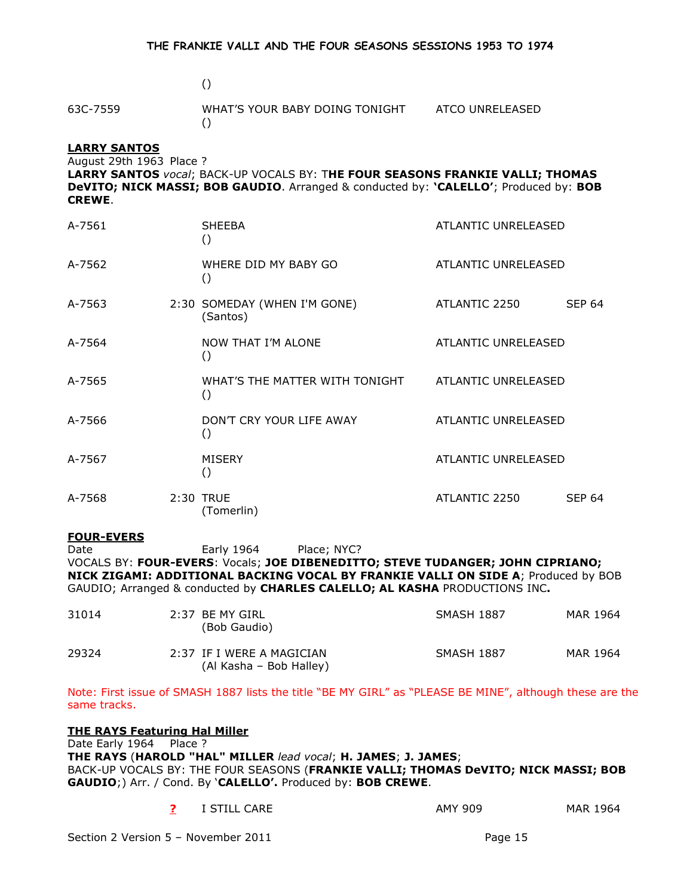### $\overline{(\hspace{.1cm})\hspace{.1cm}}$

# 63C-7559 WHAT'S YOUR BABY DOING TONIGHT ATCO UNRELEASED  $\left( \right)$

# LARRY SANTOS

August 29th 1963 Place ?

LARRY SANTOS vocal; BACK-UP VOCALS BY: THE FOUR SEASONS FRANKIE VALLI; THOMAS DeVITO; NICK MASSI; BOB GAUDIO. Arranged & conducted by: 'CALELLO'; Produced by: BOB CREWE.

| A-7561 | <b>SHEEBA</b><br>$\left( \right)$                                      | ATLANTIC UNRELEASED |               |
|--------|------------------------------------------------------------------------|---------------------|---------------|
| A-7562 | WHERE DID MY BABY GO<br>$\left( \right)$                               | ATLANTIC UNRELEASED |               |
| A-7563 | 2:30 SOMEDAY (WHEN I'M GONE)<br>(Santos)                               | ATLANTIC 2250       | <b>SEP 64</b> |
| A-7564 | NOW THAT I'M ALONE<br>$\left( \right)$                                 | ATLANTIC UNRELEASED |               |
| A-7565 | WHAT'S THE MATTER WITH TONIGHT ATLANTIC UNRELEASED<br>$\left( \right)$ |                     |               |
| A-7566 | DON'T CRY YOUR LIFE AWAY<br>$\left( \right)$                           | ATLANTIC UNRELEASED |               |
| A-7567 | <b>MISERY</b><br>$\left( \right)$                                      | ATLANTIC UNRELEASED |               |
| A-7568 | 2:30 TRUE<br>(Tomerlin)                                                | ATLANTIC 2250       | <b>SEP 64</b> |

# FOUR-EVERS

Date **Early 1964** Place: NYC?

VOCALS BY: FOUR-EVERS: Vocals; JOE DIBENEDITTO; STEVE TUDANGER; JOHN CIPRIANO; NICK ZIGAMI: ADDITIONAL BACKING VOCAL BY FRANKIE VALLI ON SIDE A; Produced by BOB GAUDIO; Arranged & conducted by CHARLES CALELLO; AL KASHA PRODUCTIONS INC.

| 31014 | 2:37 BE MY GIRL<br>(Bob Gaudio)                      | <b>SMASH 1887</b> | MAR 1964 |
|-------|------------------------------------------------------|-------------------|----------|
| 29324 | 2:37 IF I WERE A MAGICIAN<br>(Al Kasha – Bob Halley) | <b>SMASH 1887</b> | MAR 1964 |

Note: First issue of SMASH 1887 lists the title "BE MY GIRL" as "PLEASE BE MINE", although these are the same tracks.

THE RAYS Featuring Hal Miller Date Early 1964 Place ? THE RAYS (HAROLD "HAL" MILLER lead vocal; H. JAMES; J. JAMES; BACK-UP VOCALS BY: THE FOUR SEASONS (FRANKIE VALLI; THOMAS DeVITO; NICK MASSI; BOB GAUDIO;) Arr. / Cond. By 'CALELLO'. Produced by: BOB CREWE.

| I STILL CARE | AMY 909 | MAR 1964 |
|--------------|---------|----------|
|--------------|---------|----------|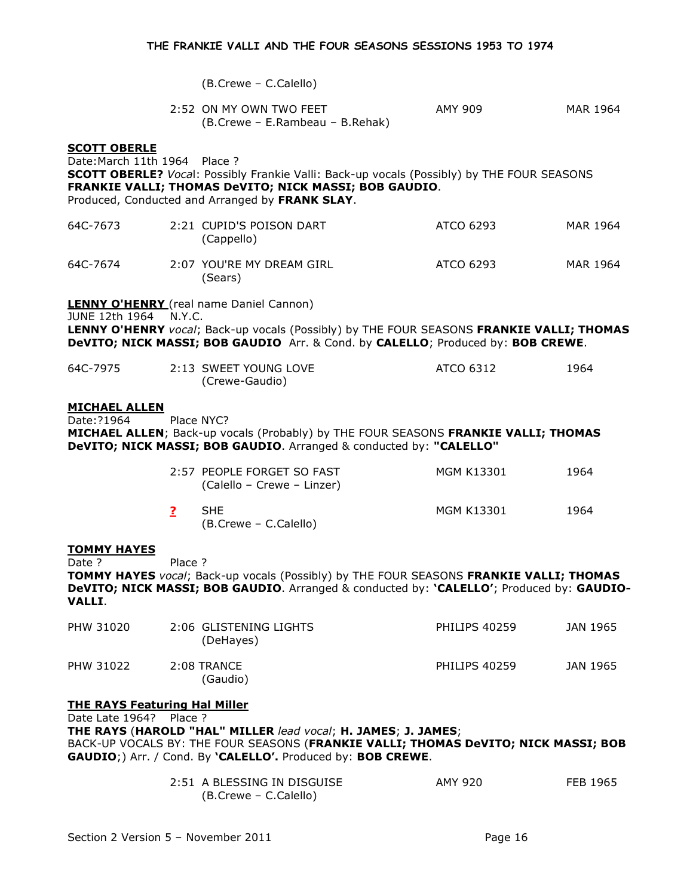(B.Crewe – C.Calello)

| 2:52 ON MY OWN TWO FEET         | AMY 909 | MAR 1964 |
|---------------------------------|---------|----------|
| (B.Crewe – E.Rambeau – B.Rehak) |         |          |

#### SCOTT OBERLE

Date:March 11th 1964 Place ? SCOTT OBERLE? Vocal: Possibly Frankie Valli: Back-up vocals (Possibly) by THE FOUR SEASONS FRANKIE VALLI; THOMAS DeVITO; NICK MASSI; BOB GAUDIO. Produced, Conducted and Arranged by FRANK SLAY. 64C-7673 2:21 CUPID'S POISON DART ATCO 6293 MAR 1964 (Cappello) 64C-7674 2:07 YOU'RE MY DREAM GIRL ATCO 6293 MAR 1964 (Sears) **LENNY O'HENRY** (real name Daniel Cannon) JUNE 12th 1964 N.Y.C. LENNY O'HENRY vocal; Back-up vocals (Possibly) by THE FOUR SEASONS FRANKIE VALLI; THOMAS DeVITO; NICK MASSI; BOB GAUDIO Arr. & Cond. by CALELLO; Produced by: BOB CREWE. 64C-7975 2:13 SWEET YOUNG LOVE ATCO 6312 1964 (Crewe-Gaudio) MICHAEL ALLEN Date:?1964 Place NYC? MICHAEL ALLEN; Back-up vocals (Probably) by THE FOUR SEASONS FRANKIE VALLI; THOMAS DeVITO; NICK MASSI; BOB GAUDIO. Arranged & conducted by: "CALELLO" 2:57 PEOPLE FORGET SO FAST MGM K13301 1964 (Calello – Crewe – Linzer) **2** SHE MGM K13301 1964 (B.Crewe – C.Calello) TOMMY HAYES Date ? Place ? TOMMY HAYES vocal; Back-up vocals (Possibly) by THE FOUR SEASONS FRANKIE VALLI; THOMAS DeVITO; NICK MASSI; BOB GAUDIO. Arranged & conducted by: 'CALELLO'; Produced by: GAUDIO-VALLI. PHW 31020 2:06 GLISTENING LIGHTS PHILIPS 40259 JAN 1965 (DeHayes) PHW 31022 2:08 TRANCE PHILIPS 40259 JAN 1965 (Gaudio) THE RAYS Featuring Hal Miller Date Late 1964? Place ?

THE RAYS (HAROLD "HAL" MILLER lead vocal; H. JAMES; J. JAMES; BACK-UP VOCALS BY: THE FOUR SEASONS (FRANKIE VALLI; THOMAS DeVITO; NICK MASSI; BOB GAUDIO;) Arr. / Cond. By 'CALELLO'. Produced by: BOB CREWE.

| 2:51 A BLESSING IN DISGUISE | AMY 920 | FEB 1965 |
|-----------------------------|---------|----------|
| (B.Crewe – C.Calello)       |         |          |